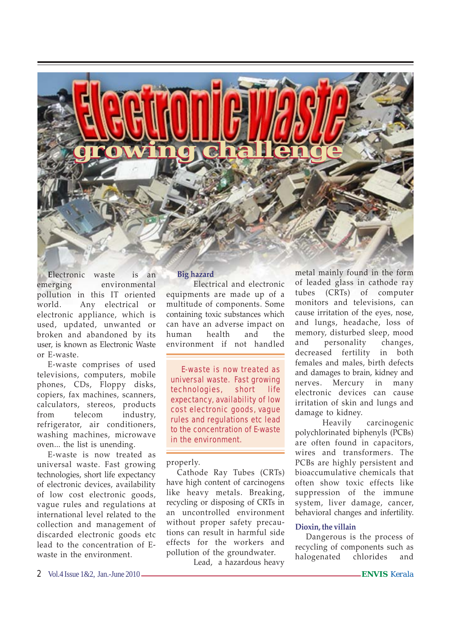

**E**lectronic waste is an emerging environmental pollution in this IT oriented world. Any electrical or electronic appliance, which is used, updated, unwanted or broken and abandoned by its user, is known as Electronic Waste or E-waste.

E-waste comprises of used televisions, computers, mobile phones, CDs, Floppy disks, copiers, fax machines, scanners, calculators, stereos, products from telecom industry, refrigerator, air conditioners, washing machines, microwave oven... the list is unending.

E-waste is now treated as universal waste. Fast growing technologies, short life expectancy of electronic devices, availability of low cost electronic goods, vague rules and regulations at international level related to the collection and management of discarded electronic goods etc lead to the concentration of Ewaste in the environment.

# **Big hazard**

Electrical and electronic equipments are made up of a multitude of components. Some containing toxic substances which can have an adverse impact on human health and the environment if not handled

E-waste is now treated as universal waste. Fast growing technologies, short life expectancy, availability of low cost electronic goods, vague rules and regulations etc lead to the concentration of E-waste in the environment.

### properly.

Cathode Ray Tubes (CRTs) have high content of carcinogens like heavy metals. Breaking, recycling or disposing of CRTs in an uncontrolled environment without proper safety precautions can result in harmful side effects for the workers and pollution of the groundwater.

Lead, a hazardous heavy

metal mainly found in the form of leaded glass in cathode ray tubes (CRTs) of computer monitors and televisions, can cause irritation of the eyes, nose, and lungs, headache, loss of memory, disturbed sleep, mood and personality changes, decreased fertility in both females and males, birth defects and damages to brain, kidney and nerves. Mercury in many electronic devices can cause irritation of skin and lungs and damage to kidney.

Heavily carcinogenic polychlorinated biphenyls (PCBs) are often found in capacitors, wires and transformers. The PCBs are highly persistent and bioaccumulative chemicals that often show toxic effects like suppression of the immune system, liver damage, cancer, behavioral changes and infertility.

### **Dioxin, the villain**

Dangerous is the process of recycling of components such as halogenated chlorides and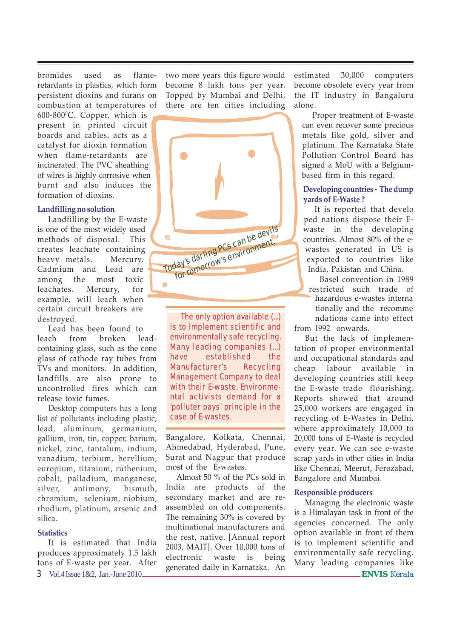bromides used as flameretardants in plastics, which form persistent dioxins and furans on combustion at temperatures of

 $600-800$ <sup>o</sup>C. Copper, which is present in printed circuit boards and cables, acts as a catalyst for dioxin formation when flame-retardants are incinerated. The PVC sheathing of wires is highly corrosive when burnt and also induces the formation of dioxins.

## **Landfilling no solution**

Landfilling by the E-waste is one of the most widely used methods of disposal. This creates leachate containing heavy metals. Mercury, Cadmium and Lead are among the most toxic leachates. Mercury, for example, will leach when certain circuit breakers are destroyed.

Lead has been found to leach from broken leadcontaining glass, such as the cone glass of cathode ray tubes from TVs and monitors. In addition, landfills are also prone to uncontrolled fires which can release toxic fumes.

Desktop computers has a long list of pollutants including plastic, lead, aluminum, germanium, gallium, iron, tin, copper, barium, nickel, zinc, tantalum, indium, vanadium, terbium, beryllium, europium, titanium, ruthenium, cobalt, palladium, manganese, silver, antimony, bismuth, chromium, selenium, niobium, rhodium, platinum, arsenic and silica.

### **Statistics**

3 Vol.4 Issue 1&2, Jan.-June 2010 **ENVIS** *Kerala* It is estimated that India produces approximately 1.5 lakh tons of E-waste per year. After

two more years this figure would become 8 lakh tons per year. Topped by Mumbai and Delhi, there are ten cities including



The only option available (...) is to implement scientific and environmentally safe recycling. Many leading companies (...) have established the Manufacturer's Recycling Management Company to deal with their E-waste. Environmental activists demand for a 'polluter pays' principle in the case of E-wastes.

Bangalore, Kolkata, Chennai, Ahmedabad, Hyderabad, Pune, Surat and Nagpur that produce most of the E-wastes.

Almost 50 % of the PCs sold in India are products of the secondary market and are reassembled on old components. The remaining 30% is covered by multinational manufacturers and the rest, native. [Annual report 2003, MAIT]. Over 10,000 tons of electronic waste is being generated daily in Karnataka. An estimated 30,000 computers become obsolete every year from the IT industry in Bangaluru alone.

Proper treatment of E-waste can even recover some precious metals like gold, silver and platinum. The Karnataka State Pollution Control Board has signed a MoU with a Belgiumbased firm in this regard.

## **Developing countries - The dump yards of E-Waste ?**

It is reported that develo ped nations dispose their Ewaste in the developing countries. Almost 80% of the ewastes generated in US is exported to countries like India, Pakistan and China.

Basel convention in 1989 restricted such trade of hazardous e-wastes interna tionally and the recomme ndations came into effect

from 1992 onwards. But the lack of implemen-

tation of proper environmental and occupational standards and cheap labour available in developing countries still keep the E-waste trade flourishing. Reports showed that around 25,000 workers are engaged in recycling of E-Wastes in Delhi, where approximately 10,000 to 20,000 tons of E-Waste is recycled every year. We can see e-waste scrap yards in other cities in India like Chennai, Meerut, Ferozabad, Bangalore and Mumbai.

## **Responsible producers**

Managing the electronic waste is a Himalayan task in front of the agencies concerned. The only option available in front of them is to implement scientific and environmentally safe recycling. Many leading companies like